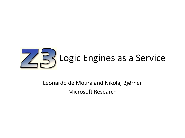

#### Leonardo de Moura and Nikolaj Bjørner Microsoft Research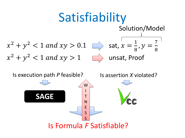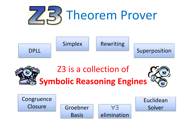





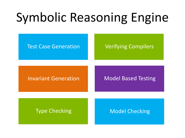# Symbolic Reasoning Engine

#### Test Case Generation **Verifying Compilers**

Invariant Generation Model Based Testing

Type Checking Model Checking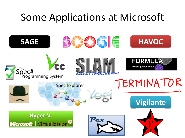## Some Applications at Microsoft

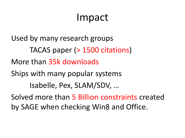## Impact

Used by many research groups TACAS paper (> 1500 citations) More than 35k downloads Ships with many popular systems Isabelle, Pex, SLAM/SDV, … Solved more than 5 Billion constraints created by SAGE when checking Win8 and Office.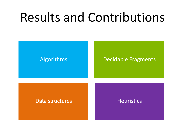# Results and Contributions

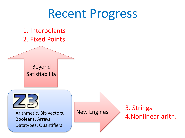## Recent Progress

1. Interpolants 2. Fixed Points

Beyond Satisfiability



Arithmetic, Bit-Vectors, Booleans, Arrays, Datatypes, Quantifiers

New Engines

### 3. Strings 4.Nonlinear arith.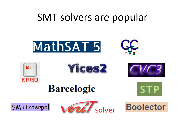### SMT solvers are popular